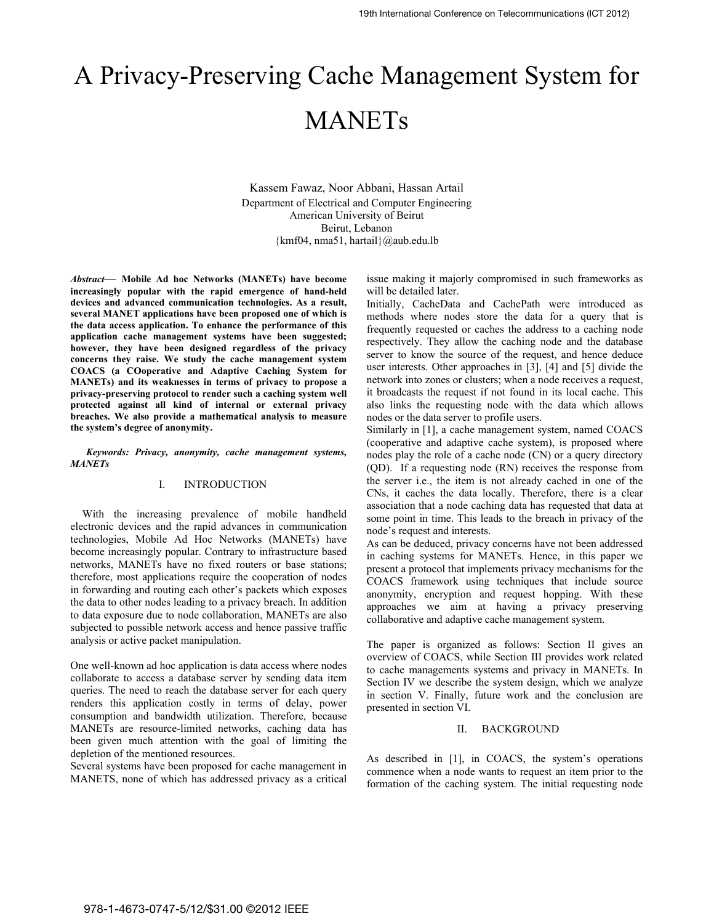# A Privacy-Preserving Cache Management System for MANETs

Kassem Fawaz, Noor Abbani, Hassan Artail Department of Electrical and Computer Engineering American University of Beirut Beirut, Lebanon {kmf04, nma51, hartail}@aub.edu.lb

*Abstract*— **Mobile Ad hoc Networks (MANETs) have become increasingly popular with the rapid emergence of hand-held devices and advanced communication technologies. As a result, several MANET applications have been proposed one of which is the data access application. To enhance the performance of this application cache management systems have been suggested; however, they have been designed regardless of the privacy concerns they raise. We study the cache management system COACS (a COoperative and Adaptive Caching System for MANETs) and its weaknesses in terms of privacy to propose a privacy-preserving protocol to render such a caching system well protected against all kind of internal or external privacy breaches. We also provide a mathematical analysis to measure the system's degree of anonymity.** 

*Keywords: Privacy, anonymity, cache management systems, MANETs* 

#### I. INTRODUCTION

With the increasing prevalence of mobile handheld electronic devices and the rapid advances in communication technologies, Mobile Ad Hoc Networks (MANETs) have become increasingly popular. Contrary to infrastructure based networks, MANETs have no fixed routers or base stations; therefore, most applications require the cooperation of nodes in forwarding and routing each other's packets which exposes the data to other nodes leading to a privacy breach. In addition to data exposure due to node collaboration, MANETs are also subjected to possible network access and hence passive traffic analysis or active packet manipulation.

One well-known ad hoc application is data access where nodes collaborate to access a database server by sending data item queries. The need to reach the database server for each query renders this application costly in terms of delay, power consumption and bandwidth utilization. Therefore, because MANETs are resource-limited networks, caching data has been given much attention with the goal of limiting the depletion of the mentioned resources.

Several systems have been proposed for cache management in MANETS, none of which has addressed privacy as a critical issue making it majorly compromised in such frameworks as will be detailed later.

Initially, CacheData and CachePath were introduced as methods where nodes store the data for a query that is frequently requested or caches the address to a caching node respectively. They allow the caching node and the database server to know the source of the request, and hence deduce user interests. Other approaches in [3], [4] and [5] divide the network into zones or clusters; when a node receives a request, it broadcasts the request if not found in its local cache. This also links the requesting node with the data which allows nodes or the data server to profile users.

Similarly in [1], a cache management system, named COACS (cooperative and adaptive cache system), is proposed where nodes play the role of a cache node (CN) or a query directory (QD). If a requesting node (RN) receives the response from the server i.e., the item is not already cached in one of the CNs, it caches the data locally. Therefore, there is a clear association that a node caching data has requested that data at some point in time. This leads to the breach in privacy of the node's request and interests.

As can be deduced, privacy concerns have not been addressed in caching systems for MANETs. Hence, in this paper we present a protocol that implements privacy mechanisms for the COACS framework using techniques that include source anonymity, encryption and request hopping. With these approaches we aim at having a privacy preserving collaborative and adaptive cache management system.

The paper is organized as follows: Section II gives an overview of COACS, while Section III provides work related to cache managements systems and privacy in MANETs. In Section IV we describe the system design, which we analyze in section V. Finally, future work and the conclusion are presented in section VI.

#### II. BACKGROUND

As described in [1], in COACS, the system's operations commence when a node wants to request an item prior to the formation of the caching system. The initial requesting node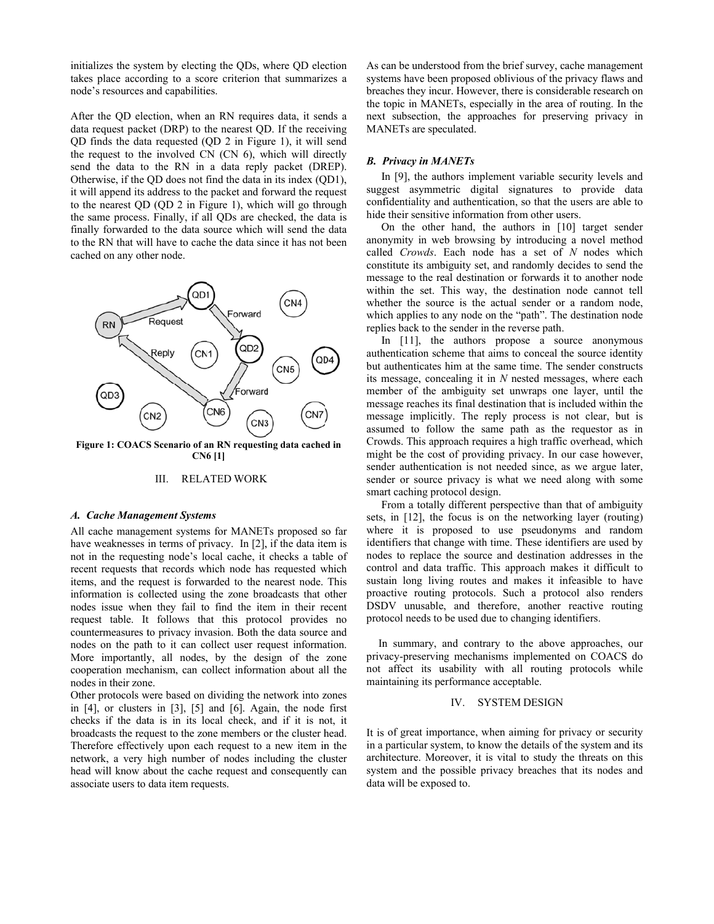initializes the system by electing the ODs, where OD election takes place according to a score criterion that summarizes a node's resources and capabilities.

After the QD election, when an RN requires data, it sends a data request packet (DRP) to the nearest QD. If the receiving QD finds the data requested (QD 2 in Figure 1), it will send the request to the involved CN (CN 6), which will directly send the data to the RN in a data reply packet (DREP). Otherwise, if the QD does not find the data in its index (QD1), it will append its address to the packet and forward the request to the nearest QD (QD 2 in Figure 1), which will go through the same process. Finally, if all QDs are checked, the data is finally forwarded to the data source which will send the data to the RN that will have to cache the data since it has not been cached on any other node.



Figure 1: COACS Scenario of an RN requesting data cached in CN6 [1]

#### Ш. **RELATED WORK**

#### A. Cache Management Systems

All cache management systems for MANETs proposed so far have weaknesses in terms of privacy. In [2], if the data item is not in the requesting node's local cache, it checks a table of recent requests that records which node has requested which items, and the request is forwarded to the nearest node. This information is collected using the zone broadcasts that other nodes issue when they fail to find the item in their recent request table. It follows that this protocol provides no countermeasures to privacy invasion. Both the data source and nodes on the path to it can collect user request information. More importantly, all nodes, by the design of the zone cooperation mechanism, can collect information about all the nodes in their zone.

Other protocols were based on dividing the network into zones in  $[4]$ , or clusters in  $[3]$ ,  $[5]$  and  $[6]$ . Again, the node first checks if the data is in its local check, and if it is not, it broadcasts the request to the zone members or the cluster head. Therefore effectively upon each request to a new item in the network, a very high number of nodes including the cluster head will know about the cache request and consequently can associate users to data item requests.

As can be understood from the brief survey, cache management systems have been proposed oblivious of the privacy flaws and breaches they incur. However, there is considerable research on the topic in MANETs, especially in the area of routing. In the next subsection, the approaches for preserving privacy in MANETs are speculated.

#### **B.** Privacy in MANETs

In [9], the authors implement variable security levels and suggest asymmetric digital signatures to provide data confidentiality and authentication, so that the users are able to hide their sensitive information from other users.

On the other hand, the authors in [10] target sender anonymity in web browsing by introducing a novel method called *Crowds*. Each node has a set of N nodes which constitute its ambiguity set, and randomly decides to send the message to the real destination or forwards it to another node within the set. This way, the destination node cannot tell whether the source is the actual sender or a random node, which applies to any node on the "path". The destination node replies back to the sender in the reverse path.

In [11], the authors propose a source anonymous authentication scheme that aims to conceal the source identity but authenticates him at the same time. The sender constructs its message, concealing it in  $N$  nested messages, where each member of the ambiguity set unwraps one layer, until the message reaches its final destination that is included within the message implicitly. The reply process is not clear, but is assumed to follow the same path as the requestor as in Crowds. This approach requires a high traffic overhead, which might be the cost of providing privacy. In our case however, sender authentication is not needed since, as we argue later, sender or source privacy is what we need along with some smart caching protocol design.

From a totally different perspective than that of ambiguity sets, in [12], the focus is on the networking layer (routing) where it is proposed to use pseudonyms and random identifiers that change with time. These identifiers are used by nodes to replace the source and destination addresses in the control and data traffic. This approach makes it difficult to sustain long living routes and makes it infeasible to have proactive routing protocols. Such a protocol also renders DSDV unusable, and therefore, another reactive routing protocol needs to be used due to changing identifiers.

In summary, and contrary to the above approaches, our privacy-preserving mechanisms implemented on COACS do not affect its usability with all routing protocols while maintaining its performance acceptable.

#### IV. SYSTEM DESIGN

It is of great importance, when aiming for privacy or security in a particular system, to know the details of the system and its architecture. Moreover, it is vital to study the threats on this system and the possible privacy breaches that its nodes and data will be exposed to.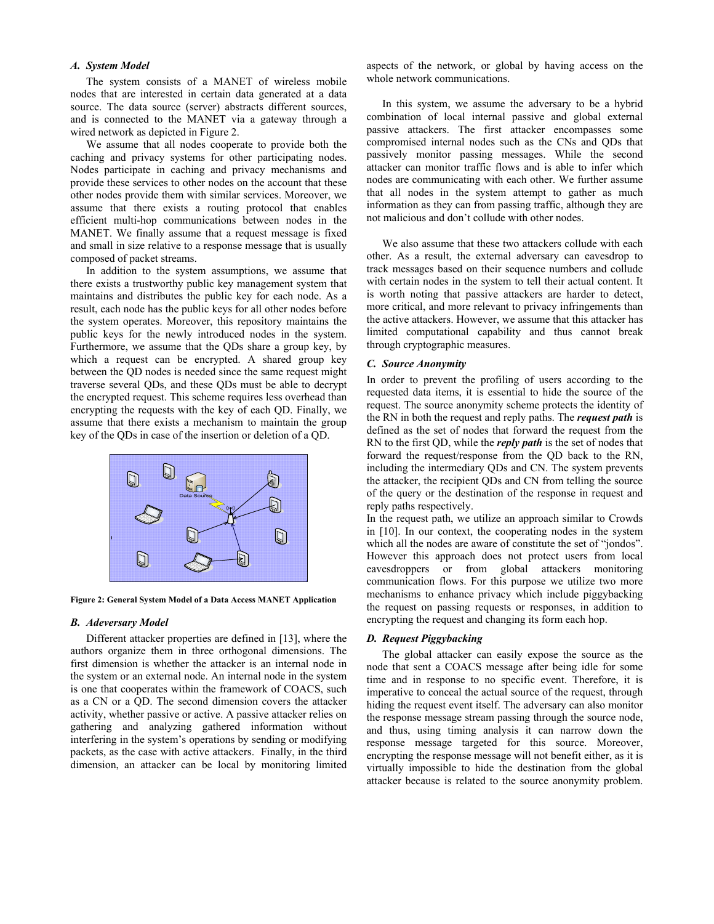#### *A. System Model*

The system consists of a MANET of wireless mobile nodes that are interested in certain data generated at a data source. The data source (server) abstracts different sources, and is connected to the MANET via a gateway through a wired network as depicted in Figure 2.

We assume that all nodes cooperate to provide both the caching and privacy systems for other participating nodes. Nodes participate in caching and privacy mechanisms and provide these services to other nodes on the account that these other nodes provide them with similar services. Moreover, we assume that there exists a routing protocol that enables efficient multi-hop communications between nodes in the MANET. We finally assume that a request message is fixed and small in size relative to a response message that is usually composed of packet streams.

In addition to the system assumptions, we assume that there exists a trustworthy public key management system that maintains and distributes the public key for each node. As a result, each node has the public keys for all other nodes before the system operates. Moreover, this repository maintains the public keys for the newly introduced nodes in the system. Furthermore, we assume that the QDs share a group key, by which a request can be encrypted. A shared group key between the QD nodes is needed since the same request might traverse several QDs, and these QDs must be able to decrypt the encrypted request. This scheme requires less overhead than encrypting the requests with the key of each QD. Finally, we assume that there exists a mechanism to maintain the group key of the QDs in case of the insertion or deletion of a QD.



**Figure 2: General System Model of a Data Access MANET Application** 

#### *B. Adeversary Model*

Different attacker properties are defined in [13], where the authors organize them in three orthogonal dimensions. The first dimension is whether the attacker is an internal node in the system or an external node. An internal node in the system is one that cooperates within the framework of COACS, such as a CN or a QD. The second dimension covers the attacker activity, whether passive or active. A passive attacker relies on gathering and analyzing gathered information without interfering in the system's operations by sending or modifying packets, as the case with active attackers. Finally, in the third dimension, an attacker can be local by monitoring limited

aspects of the network, or global by having access on the whole network communications.

In this system, we assume the adversary to be a hybrid combination of local internal passive and global external passive attackers. The first attacker encompasses some compromised internal nodes such as the CNs and QDs that passively monitor passing messages. While the second attacker can monitor traffic flows and is able to infer which nodes are communicating with each other. We further assume that all nodes in the system attempt to gather as much information as they can from passing traffic, although they are not malicious and don't collude with other nodes.

We also assume that these two attackers collude with each other. As a result, the external adversary can eavesdrop to track messages based on their sequence numbers and collude with certain nodes in the system to tell their actual content. It is worth noting that passive attackers are harder to detect, more critical, and more relevant to privacy infringements than the active attackers. However, we assume that this attacker has limited computational capability and thus cannot break through cryptographic measures.

#### *C. Source Anonymity*

In order to prevent the profiling of users according to the requested data items, it is essential to hide the source of the request. The source anonymity scheme protects the identity of the RN in both the request and reply paths. The *request path* is defined as the set of nodes that forward the request from the RN to the first QD, while the *reply path* is the set of nodes that forward the request/response from the QD back to the RN, including the intermediary QDs and CN. The system prevents the attacker, the recipient QDs and CN from telling the source of the query or the destination of the response in request and reply paths respectively.

In the request path, we utilize an approach similar to Crowds in [10]. In our context, the cooperating nodes in the system which all the nodes are aware of constitute the set of "jondos". However this approach does not protect users from local eavesdroppers or from global attackers monitoring communication flows. For this purpose we utilize two more mechanisms to enhance privacy which include piggybacking the request on passing requests or responses, in addition to encrypting the request and changing its form each hop.

#### *D. Request Piggybacking*

The global attacker can easily expose the source as the node that sent a COACS message after being idle for some time and in response to no specific event. Therefore, it is imperative to conceal the actual source of the request, through hiding the request event itself. The adversary can also monitor the response message stream passing through the source node, and thus, using timing analysis it can narrow down the response message targeted for this source. Moreover, encrypting the response message will not benefit either, as it is virtually impossible to hide the destination from the global attacker because is related to the source anonymity problem.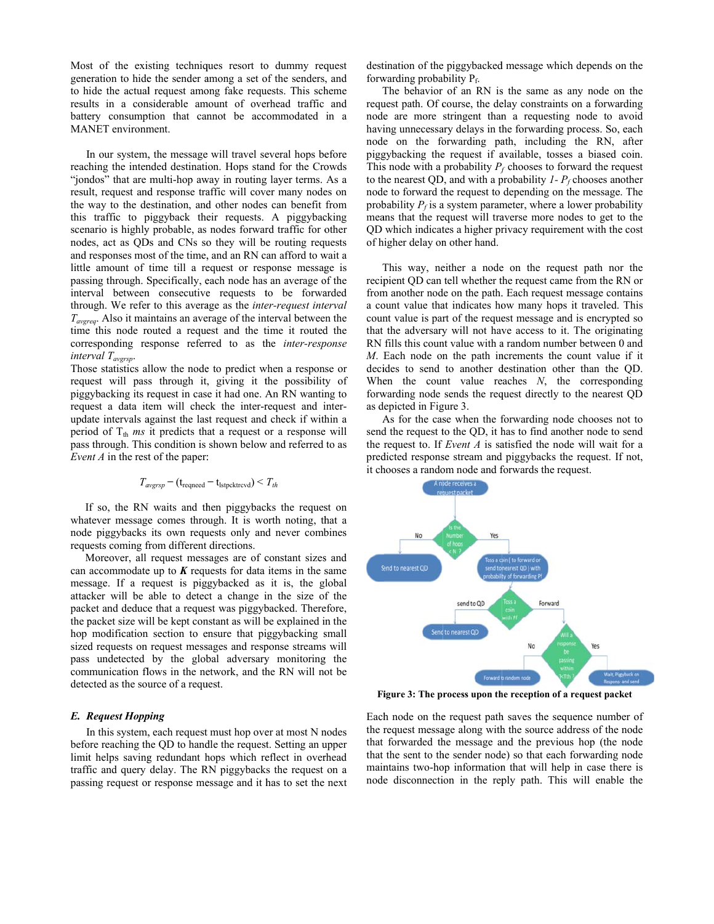Most of the existing techniques resort to dummy request generation to hide the sender among a set of the senders, and to hide the actual request among fake requests. This scheme results in a considerable amount of overhead traffic and battery consumption that cannot be accommodated in a MANET environment.

In our system, the message will travel several hops before reaching the intended destination. Hops stand for the Crowds "jondos" that are multi-hop away in routing layer terms. As a result, request and response traffic will cover many nodes on the way to the destination, and other nodes can benefit from this traffic to piggyback their requests. A piggybacking scenario is highly probable, as nodes forward traffic for other nodes, act as QDs and CNs so they will be routing requests and responses most of the time, and an RN can afford to wait a little amount of time till a request or response message is passing through. Specifically, each node has an average of the interval between consecutive requests to be forwarded through. We refer to this average as the *inter-request interval*  $T_{\text{avgreq}}$ . Also it maintains an average of the interval between the time this node routed a request and the time it routed the corresponding response referred to as the inter-response interval  $T_{\text{average}}$ .

Those statistics allow the node to predict when a response or request will pass through it, giving it the possibility of piggybacking its request in case it had one. An RN wanting to request a data item will check the inter-request and interupdate intervals against the last request and check if within a period of  $T_{th}$  ms it predicts that a request or a response will pass through. This condition is shown below and referred to as *Event A* in the rest of the paper:

$$
T_{\text{avgrsp}} - (\mathbf{t}_{\text{requeed}} - \mathbf{t}_{\text{lstpektrcvd}}) < T_{\text{th}}
$$

If so, the RN waits and then piggybacks the request on whatever message comes through. It is worth noting, that a node piggybacks its own requests only and never combines requests coming from different directions.

Moreover, all request messages are of constant sizes and can accommodate up to  $K$  requests for data items in the same message. If a request is piggybacked as it is, the global attacker will be able to detect a change in the size of the packet and deduce that a request was piggybacked. Therefore, the packet size will be kept constant as will be explained in the hop modification section to ensure that piggybacking small sized requests on request messages and response streams will pass undetected by the global adversary monitoring the communication flows in the network, and the RN will not be detected as the source of a request.

#### **E.** Request Hopping

In this system, each request must hop over at most N nodes before reaching the QD to handle the request. Setting an upper limit helps saving redundant hops which reflect in overhead traffic and query delay. The RN piggybacks the request on a passing request or response message and it has to set the next destination of the piggybacked message which depends on the forwarding probability  $P_f$ .

The behavior of an RN is the same as any node on the request path. Of course, the delay constraints on a forwarding node are more stringent than a requesting node to avoid having unnecessary delays in the forwarding process. So, each node on the forwarding path, including the RN, after piggybacking the request if available, tosses a biased coin. This node with a probability  $P_f$  chooses to forward the request to the nearest QD, and with a probability  $I - P_f$  chooses another node to forward the request to depending on the message. The probability  $P_f$  is a system parameter, where a lower probability means that the request will traverse more nodes to get to the QD which indicates a higher privacy requirement with the cost of higher delay on other hand.

This way, neither a node on the request path nor the recipient QD can tell whether the request came from the RN or from another node on the path. Each request message contains a count value that indicates how many hops it traveled. This count value is part of the request message and is encrypted so that the adversary will not have access to it. The originating RN fills this count value with a random number between 0 and M. Each node on the path increments the count value if it decides to send to another destination other than the QD. When the count value reaches  $N$ , the corresponding forwarding node sends the request directly to the nearest OD as depicted in Figure 3.

As for the case when the forwarding node chooses not to send the request to the QD, it has to find another node to send the request to. If *Event A* is satisfied the node will wait for a predicted response stream and piggybacks the request. If not, it chooses a random node and forwards the request.



Figure 3: The process upon the reception of a request packet

Each node on the request path saves the sequence number of the request message along with the source address of the node that forwarded the message and the previous hop (the node that the sent to the sender node) so that each forwarding node maintains two-hop information that will help in case there is node disconnection in the reply path. This will enable the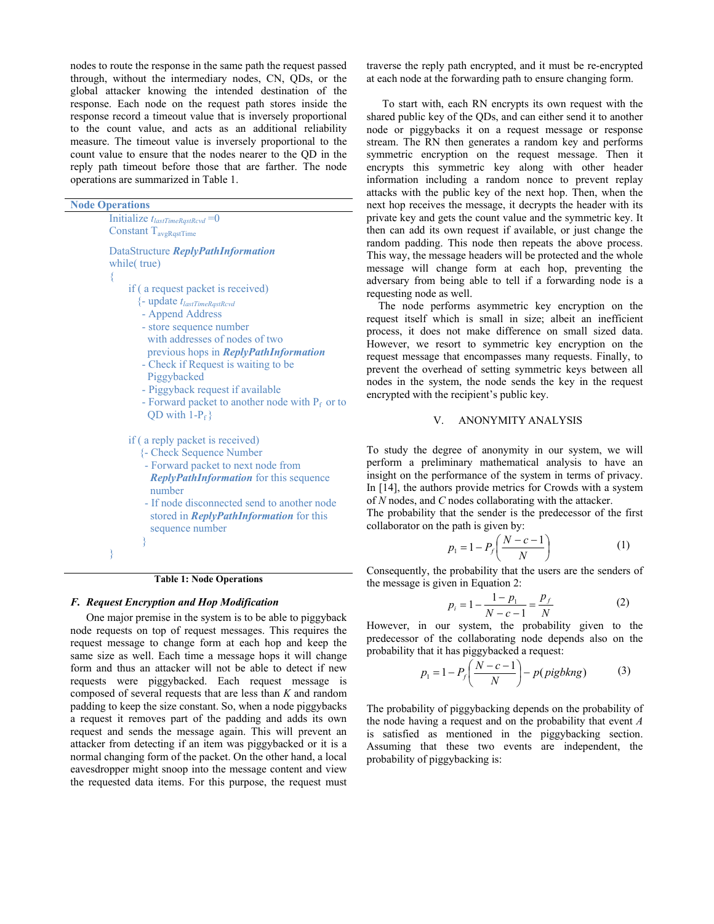nodes to route the response in the same path the request passed through, without the intermediary nodes, CN, QDs, or the global attacker knowing the intended destination of the response. Each node on the request path stores inside the response record a timeout value that is inversely proportional to the count value, and acts as an additional reliability measure. The timeout value is inversely proportional to the count value to ensure that the nodes nearer to the QD in the reply path timeout before those that are farther. The node operations are summarized in Table 1.

| <b>Node Operations</b><br>ne: |                                                                                                                                                                                                                                                                                                                                                  |
|-------------------------------|--------------------------------------------------------------------------------------------------------------------------------------------------------------------------------------------------------------------------------------------------------------------------------------------------------------------------------------------------|
|                               | Initialize $t_{lastTimeRqstRcvd} = 0$<br>pri<br>the<br>Constant T <sub>avgRqstTime</sub>                                                                                                                                                                                                                                                         |
| ₹                             | rar<br>DataStructure ReplyPathInformation<br>Th<br>while (true)<br>me<br>ad<br>if (a request packet is received)<br>rec<br>$\{-$ update $t_{lastTimeRqstRcvd}$<br>- Append Address                                                                                                                                                               |
|                               | rec<br>- store sequence number<br>pro<br>with addresses of nodes of two<br>Hc<br>previous hops in <b>ReplyPathInformation</b><br>rec<br>- Check if Request is waiting to be<br>pre<br>Piggybacked<br>no<br>- Piggyback request if available<br>en<br>- Forward packet to another node with $P_f$ or to<br>QD with $1-P_f$ }                      |
|                               | if (a reply packet is received)<br>To<br><b>{- Check Sequence Number</b><br>per<br>- Forward packet to next node from<br>ins<br><b>ReplyPathInformation</b> for this sequence<br>In<br>number<br>of<br>- If node disconnected send to another node<br>Th<br>stored in <b>ReplyPathInformation</b> for this<br>$\rm{col}$<br>sequence number<br>∤ |
| }                             | Co                                                                                                                                                                                                                                                                                                                                               |

## **Table 1: Node Operations**

### *F. Request Encryption and Hop Modification*

One major premise in the system is to be able to piggyback node requests on top of request messages. This requires the request message to change form at each hop and keep the same size as well. Each time a message hops it will change form and thus an attacker will not be able to detect if new requests were piggybacked. Each request message is composed of several requests that are less than *K* and random padding to keep the size constant. So, when a node piggybacks a request it removes part of the padding and adds its own request and sends the message again. This will prevent an attacker from detecting if an item was piggybacked or it is a normal changing form of the packet. On the other hand, a local eavesdropper might snoop into the message content and view the requested data items. For this purpose, the request must

traverse the reply path encrypted, and it must be re-encrypted at each node at the forwarding path to ensure changing form.

To start with, each RN encrypts its own request with the shared public key of the QDs, and can either send it to another node or piggybacks it on a request message or response stream. The RN then generates a random key and performs symmetric encryption on the request message. Then it encrypts this symmetric key along with other header information including a random nonce to prevent replay attacks with the public key of the next hop. Then, when the xt hop receives the message, it decrypts the header with its vate key and gets the count value and the symmetric key. It en can add its own request if available, or just change the random padding. This node then repeats the above process. is way, the message headers will be protected and the whole ssage will change form at each hop, preventing the versary from being able to tell if a forwarding node is a uesting node as well.

The node performs asymmetric key encryption on the quest itself which is small in size; albeit an inefficient process, it does not make difference on small sized data. wever, we resort to symmetric key encryption on the quest message that encompasses many requests. Finally, to event the overhead of setting symmetric keys between all des in the system, the node sends the key in the request erypted with the recipient's public key.

#### V. ANONYMITY ANALYSIS

study the degree of anonymity in our system, we will perform a preliminary mathematical analysis to have an iight on the performance of the system in terms of privacy. [14], the authors provide metrics for Crowds with a system *N* nodes, and *C* nodes collaborating with the attacker.

e probability that the sender is the predecessor of the first llaborator on the path is given by:

$$
p_1 = 1 - P_f \left(\frac{N - c - 1}{N}\right) \tag{1}
$$

onsequently, the probability that the users are the senders of the message is given in Equation 2:

$$
p_i = 1 - \frac{1 - p_1}{N - c - 1} = \frac{p_f}{N}
$$
 (2)

However, in our system, the probability given to the predecessor of the collaborating node depends also on the probability that it has piggybacked a request:

$$
p_1 = 1 - P_f \left(\frac{N - c - 1}{N}\right) - p(pigb \, kg) \tag{3}
$$

The probability of piggybacking depends on the probability of the node having a request and on the probability that event *A*  is satisfied as mentioned in the piggybacking section. Assuming that these two events are independent, the probability of piggybacking is: